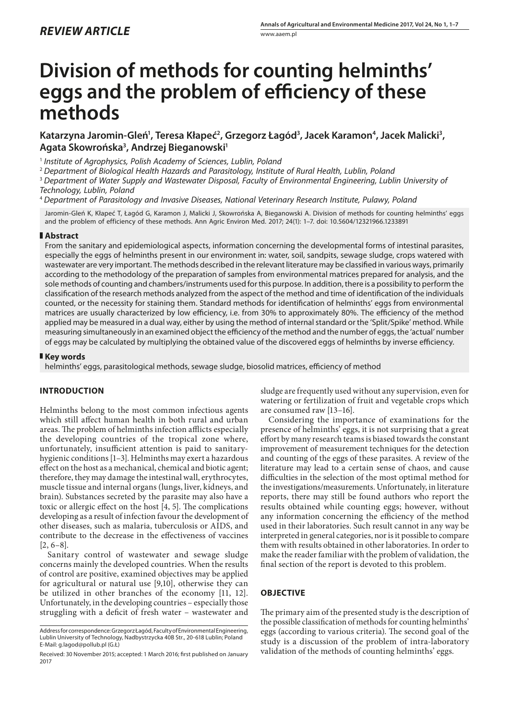# **Division of methods for counting helminths' eggs and the problem of efficiency of these methods**

Katarzyna Jaromin-Gleń', Teresa Kłapeć<sup>2</sup>, Grzegorz Łagód<sup>3</sup>, Jacek Karamon<sup>4</sup>, Jacek Malicki<sup>3</sup>, **Agata Skowrońska3 , Andrzej Bieganowski1**

<sup>1</sup> *Institute of Agrophysics, Polish Academy of Sciences, Lublin, Poland*

<sup>2</sup> *Department of Biological Health Hazards and Parasitology, Institute of Rural Health, Lublin, Poland*

<sup>3</sup> *Department of Water Supply and Wastewater Disposal, Faculty of Environmental Engineering, Lublin University of Technology, Lublin, Poland*

<sup>4</sup> *Department of Parasitology and Invasive Diseases, National Veterinary Research Institute, Pulawy, Poland*

Jaromin-Gleń K, Kłapeć T, Łagód G, Karamon J, Malicki J, Skowrońska A, Bieganowski A. Division of methods for counting helminths' eggs and the problem of efficiency of these methods. Ann Agric Environ Med. 2017; 24(1): 1–7. doi: 10.5604/12321966.1233891

# **Abstract**

From the sanitary and epidemiological aspects, information concerning the developmental forms of intestinal parasites, especially the eggs of helminths present in our environment in: water, soil, sandpits, sewage sludge, crops watered with wastewater are very important. The methods described in the relevant literature may be classified in various ways, primarily according to the methodology of the preparation of samples from environmental matrices prepared for analysis, and the sole methods of counting and chambers/instruments used for this purpose. In addition, there is a possibility to perform the classification of the research methods analyzed from the aspect of the method and time of identification of the individuals counted, or the necessity for staining them. Standard methods for identification of helminths' eggs from environmental matrices are usually characterized by low efficiency, i.e. from 30% to approximately 80%. The efficiency of the method applied may be measured in a dual way, either by using the method of internal standard or the 'Split/Spike' method. While measuring simultaneously in an examined object the efficiency of the method and the number of eggs, the 'actual' number of eggs may be calculated by multiplying the obtained value of the discovered eggs of helminths by inverse efficiency.

## **Key words**

helminths' eggs, parasitological methods, sewage sludge, biosolid matrices, efficiency of method

# **INTRODUCTION**

Helminths belong to the most common infectious agents which still affect human health in both rural and urban areas. The problem of helminths infection afflicts especially the developing countries of the tropical zone where, unfortunately, insufficient attention is paid to sanitaryhygienic conditions [1–3]. Helminths may exert a hazardous effect on the host as a mechanical, chemical and biotic agent; therefore, they may damage the intestinal wall, erythrocytes, muscle tissue and internal organs (lungs, liver, kidneys, and brain). Substances secreted by the parasite may also have a toxic or allergic effect on the host [4, 5]. The complications developing as a result of infection favour the development of other diseases, such as malaria, tuberculosis or AIDS, and contribute to the decrease in the effectiveness of vaccines [2, 6–8].

Sanitary control of wastewater and sewage sludge concerns mainly the developed countries. When the results of control are positive, examined objectives may be applied for agricultural or natural use [9,10], otherwise they can be utilized in other branches of the economy [11, 12]. Unfortunately, in the developing countries – especially those struggling with a deficit of fresh water – wastewater and sludge are frequently used without any supervision, even for watering or fertilization of fruit and vegetable crops which are consumed raw [13–16].

Considering the importance of examinations for the presence of helminths' eggs, it is not surprising that a great effort by many research teams is biased towards the constant improvement of measurement techniques for the detection and counting of the eggs of these parasites. A review of the literature may lead to a certain sense of chaos, and cause difficulties in the selection of the most optimal method for the investigations/measurements. Unfortunately, in literature reports, there may still be found authors who report the results obtained while counting eggs; however, without any information concerning the efficiency of the method used in their laboratories. Such result cannot in any way be interpreted in general categories, nor is it possible to compare them with results obtained in other laboratories. In order to make the reader familiar with the problem of validation, the final section of the report is devoted to this problem.

# **OBJECTIVE**

The primary aim of the presented study is the description of the possible classification of methods for counting helminths' eggs (according to various criteria). The second goal of the study is a discussion of the problem of intra-laboratory validation of the methods of counting helminths' eggs.

Address for correspondence: Grzegorz Łagód, Faculty of Environmental Engineering, Lublin University of Technology, Nadbystrzycka 40B Str., 20-618 Lublin; Poland E-Mail: g.lagod@pollub.pl (G.Ł)

Received: 30 November 2015; accepted: 1 March 2016; first published on January 2017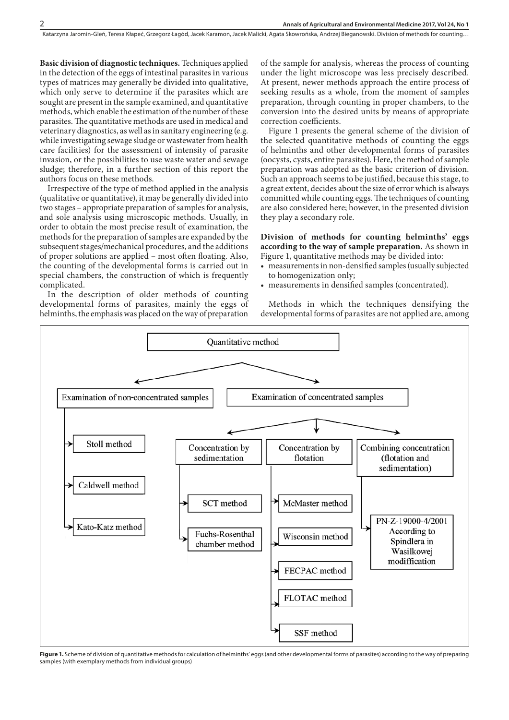**Basic division of diagnostic techniques.** Techniques applied in the detection of the eggs of intestinal parasites in various types of matrices may generally be divided into qualitative, which only serve to determine if the parasites which are sought are present in the sample examined, and quantitative methods, which enable the estimation of the number of these parasites. The quantitative methods are used in medical and veterinary diagnostics, as well as in sanitary engineering (e.g. while investigating sewage sludge or wastewater from health care facilities) for the assessment of intensity of parasite invasion, or the possibilities to use waste water and sewage sludge; therefore, in a further section of this report the authors focus on these methods.

Irrespective of the type of method applied in the analysis (qualitative or quantitative), it may be generally divided into two stages – appropriate preparation of samples for analysis, and sole analysis using microscopic methods. Usually, in order to obtain the most precise result of examination, the methods for the preparation of samples are expanded by the subsequent stages/mechanical procedures, and the additions of proper solutions are applied – most often floating. Also, the counting of the developmental forms is carried out in special chambers, the construction of which is frequently complicated.

In the description of older methods of counting developmental forms of parasites, mainly the eggs of helminths, the emphasis was placed on the way of preparation

of the sample for analysis, whereas the process of counting under the light microscope was less precisely described. At present, newer methods approach the entire process of seeking results as a whole, from the moment of samples preparation, through counting in proper chambers, to the conversion into the desired units by means of appropriate correction coefficients.

Figure 1 presents the general scheme of the division of the selected quantitative methods of counting the eggs of helminths and other developmental forms of parasites (oocysts, cysts, entire parasites). Here, the method of sample preparation was adopted as the basic criterion of division. Such an approach seems to be justified, because this stage, to a great extent, decides about the size of error which is always committed while counting eggs. The techniques of counting are also considered here; however, in the presented division they play a secondary role.

## **Division of methods for counting helminths' eggs according to the way of sample preparation.** As shown in Figure 1, quantitative methods may be divided into:

- measurements in non-densified samples (usually subjected to homogenization only;
- • measurements in densified samples (concentrated).

Methods in which the techniques densifying the developmental forms of parasites are not applied are, among



**Figure 1.** Scheme of division of quantitative methods for calculation of helminths' eggs (and other developmental forms of parasites) according to the way of preparing samples (with exemplary methods from individual groups)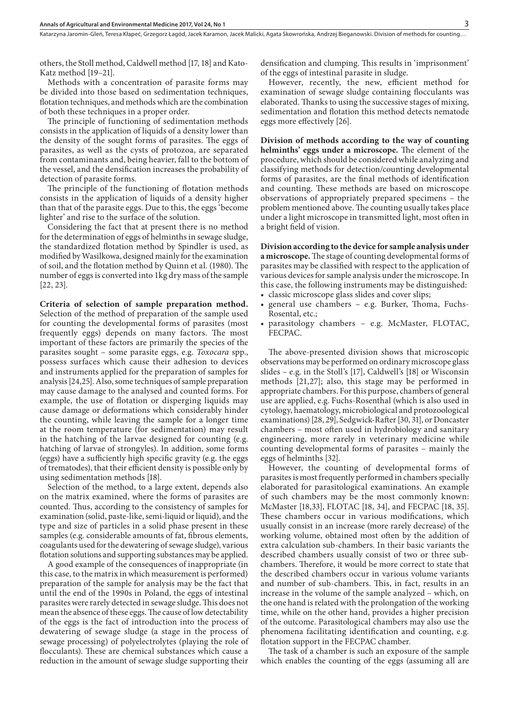Katarzyna Jaromin-Gleń, Teresa Kłapeć, Grzegorz Łagód, Jacek Karamon, Jacek Malicki, Agata Skowrońska, Andrzej Bieganowski . Division of methods for counting…

others, the Stoll method, Caldwell method [17, 18] and Kato-Katz method [19–21].

Methods with a concentration of parasite forms may be divided into those based on sedimentation techniques, flotation techniques, and methods which are the combination of both these techniques in a proper order.

The principle of functioning of sedimentation methods consists in the application of liquids of a density lower than the density of the sought forms of parasites. The eggs of parasites, as well as the cysts of protozoa, are separated from contaminants and, being heavier, fall to the bottom of the vessel, and the densification increases the probability of detection of parasite forms.

The principle of the functioning of flotation methods consists in the application of liquids of a density higher than that of the parasite eggs. Due to this, the eggs 'become lighter' and rise to the surface of the solution.

Considering the fact that at present there is no method for the determination of eggs of helminths in sewage sludge, the standardized flotation method by Spindler is used, as modified by Wasilkowa, designed mainly for the examination of soil, and the flotation method by Quinn et al. (1980). The number of eggs is converted into 1kg dry mass of the sample [22, 23].

**Criteria of selection of sample preparation method.**  Selection of the method of preparation of the sample used for counting the developmental forms of parasites (most frequently eggs) depends on many factors. The most important of these factors are primarily the species of the parasites sought – some parasite eggs, e.g. *Toxocara* spp., possess surfaces which cause their adhesion to devices and instruments applied for the preparation of samples for analysis [24,25]. Also, some techniques of sample preparation may cause damage to the analysed and counted forms. For example, the use of flotation or disperging liquids may cause damage or deformations which considerably hinder the counting, while leaving the sample for a longer time at the room temperature (for sedimentation) may result in the hatching of the larvae designed for counting (e.g. hatching of larvae of strongyles). In addition, some forms (eggs) have a sufficiently high specific gravity (e.g. the eggs of trematodes), that their efficient density is possible only by using sedimentation methods [18].

Selection of the method, to a large extent, depends also on the matrix examined, where the forms of parasites are counted. Thus, according to the consistency of samples for examination (solid, paste-like, semi-liquid or liquid), and the type and size of particles in a solid phase present in these samples (e.g. considerable amounts of fat, fibrous elements, coagulants used for the dewatering of sewage sludge), various flotation solutions and supporting substances may be applied.

A good example of the consequences of inappropriate (in this case, to the matrix in which measurement is performed) preparation of the sample for analysis may be the fact that until the end of the 1990s in Poland, the eggs of intestinal parasites were rarely detected in sewage sludge. This does not mean the absence of these eggs. The cause of low detectability of the eggs is the fact of introduction into the process of dewatering of sewage sludge (a stage in the process of sewage processing) of polyelectrolytes (playing the role of flocculants). These are chemical substances which cause a reduction in the amount of sewage sludge supporting their

densification and clumping. This results in 'imprisonment' of the eggs of intestinal parasite in sludge.

However, recently, the new, efficient method for examination of sewage sludge containing flocculants was elaborated. Thanks to using the successive stages of mixing, sedimentation and flotation this method detects nematode eggs more effectively [26].

**Division of methods according to the way of counting helminths' eggs under a microscope.** The element of the procedure, which should be considered while analyzing and classifying methods for detection/counting developmental forms of parasites, are the final methods of identification and counting. These methods are based on microscope observations of appropriately prepared specimens – the problem mentioned above. The counting usually takes place under a light microscope in transmitted light, most often in a bright field of vision.

**Division according to the device for sample analysis under a microscope.** The stage of counting developmental forms of parasites may be classified with respect to the application of various devices for sample analysis under the microscope. In this case, the following instruments may be distinguished:

- classic microscope glass slides and cover slips;
- general use chambers e.g. Burker, Thoma, Fuchs-Rosental, etc.;
- • parasitology chambers e.g. McMaster, FLOTAC, FECPAC.

The above-presented division shows that microscopic observations may be performed on ordinary microscope glass slides – e.g. in the Stoll's [17], Caldwell's [18] or Wisconsin methods [21,27]; also, this stage may be performed in appropriate chambers. For this purpose, chambers of general use are applied, e.g. Fuchs-Rosenthal (which is also used in cytology, haematology, microbiological and protozoological examinations) [28, 29], Sedgwick-Rafter [30, 31], or Doncaster chambers – most often used in hydrobiology and sanitary engineering, more rarely in veterinary medicine while counting developmental forms of parasites – mainly the eggs of helminths [32].

However, the counting of developmental forms of parasites is most frequently performed in chambers specially elaborated for parasitological examinations. An example of such chambers may be the most commonly known: McMaster [18,33], FLOTAC [18, 34], and FECPAC [18, 35]. These chambers occur in various modifications, which usually consist in an increase (more rarely decrease) of the working volume, obtained most often by the addition of extra calculation sub-chambers. In their basic variants the described chambers usually consist of two or three subchambers. Therefore, it would be more correct to state that the described chambers occur in various volume variants and number of sub-chambers. This, in fact, results in an increase in the volume of the sample analyzed – which, on the one hand is related with the prolongation of the working time, while on the other hand, provides a higher precision of the outcome. Parasitological chambers may also use the phenomena facilitating identification and counting, e.g. flotation support in the FECPAC chamber.

The task of a chamber is such an exposure of the sample which enables the counting of the eggs (assuming all are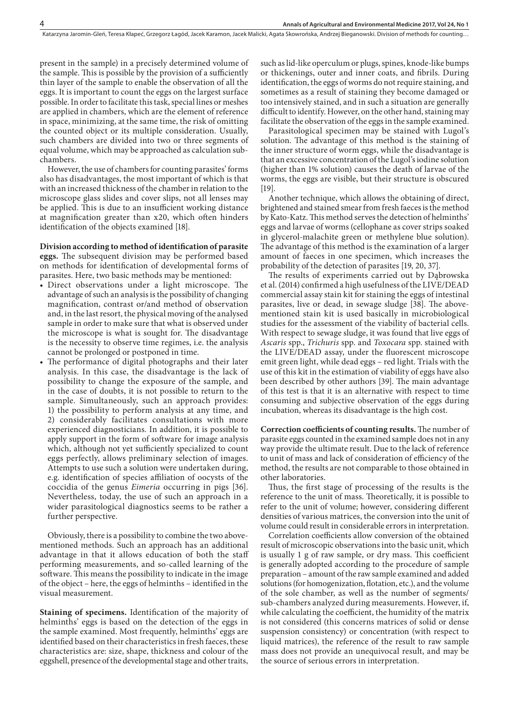#### **Annals of Agricultural and Environmental Medicine 2017, Vol 24, No 1**

present in the sample) in a precisely determined volume of the sample. This is possible by the provision of a sufficiently thin layer of the sample to enable the observation of all the eggs. It is important to count the eggs on the largest surface possible. In order to facilitate this task, special lines or meshes are applied in chambers, which are the element of reference in space, minimizing, at the same time, the risk of omitting the counted object or its multiple consideration. Usually, such chambers are divided into two or three segments of equal volume, which may be approached as calculation subchambers.

However, the use of chambers for counting parasites' forms also has disadvantages, the most important of which is that with an increased thickness of the chamber in relation to the microscope glass slides and cover slips, not all lenses may be applied. This is due to an insufficient working distance at magnification greater than x20, which often hinders identification of the objects examined [18].

## **Division according to method of identification of parasite**

**eggs.** The subsequent division may be performed based on methods for identification of developmental forms of parasites. Here, two basic methods may be mentioned:

- Direct observations under a light microscope. The advantage of such an analysis is the possibility of changing magnification, contrast or/and method of observation and, in the last resort, the physical moving of the analysed sample in order to make sure that what is observed under the microscope is what is sought for. The disadvantage is the necessity to observe time regimes, i.e. the analysis cannot be prolonged or postponed in time.
- The performance of digital photographs and their later analysis. In this case, the disadvantage is the lack of possibility to change the exposure of the sample, and in the case of doubts, it is not possible to return to the sample. Simultaneously, such an approach provides: 1) the possibility to perform analysis at any time, and 2) considerably facilitates consultations with more experienced diagnosticians. In addition, it is possible to apply support in the form of software for image analysis which, although not yet sufficiently specialized to count eggs perfectly, allows preliminary selection of images. Attempts to use such a solution were undertaken during, e.g. identification of species affiliation of oocysts of the coccidia of the genus *Eimeria* occurring in pigs [36]. Nevertheless, today, the use of such an approach in a wider parasitological diagnostics seems to be rather a further perspective.

Obviously, there is a possibility to combine the two abovementioned methods. Such an approach has an additional advantage in that it allows education of both the staff performing measurements, and so-called learning of the software. This means the possibility to indicate in the image of the object – here, the eggs of helminths – identified in the visual measurement.

**Staining of specimens.** Identification of the majority of helminths' eggs is based on the detection of the eggs in the sample examined. Most frequently, helminths' eggs are identified based on their characteristics in fresh faeces, these characteristics are: size, shape, thickness and colour of the eggshell, presence of the developmental stage and other traits,

such as lid-like operculum or plugs, spines, knode-like bumps or thickenings, outer and inner coats, and fibrils. During identification, the eggs of worms do not require staining, and sometimes as a result of staining they become damaged or too intensively stained, and in such a situation are generally difficult to identify. However, on the other hand, staining may facilitate the observation of the eggs in the sample examined.

Parasitological specimen may be stained with Lugol's solution. The advantage of this method is the staining of the inner structure of worm eggs, while the disadvantage is that an excessive concentration of the Lugol's iodine solution (higher than 1% solution) causes the death of larvae of the worms, the eggs are visible, but their structure is obscured [19].

Another technique, which allows the obtaining of direct, brightened and stained smear from fresh faeces is the method by Kato-Katz. This method serves the detection of helminths' eggs and larvae of worms (cellophane as cover strips soaked in glycerol-malachite green or methylene blue solution). The advantage of this method is the examination of a larger amount of faeces in one specimen, which increases the probability of the detection of parasites [19, 20, 37].

The results of experiments carried out by Dąbrowska et al. (2014) confirmed a high usefulness of the LIVE/DEAD commercial assay stain kit for staining the eggs of intestinal parasites, live or dead, in sewage sludge [38]. The abovementioned stain kit is used basically in microbiological studies for the assessment of the viability of bacterial cells. With respect to sewage sludge, it was found that live eggs of *Ascaris* spp., *Trichuris* spp. and *Toxocara* spp. stained with the LIVE/DEAD assay, under the fluorescent microscope emit green light, while dead eggs – red light. Trials with the use of this kit in the estimation of viability of eggs have also been described by other authors [39]. The main advantage of this test is that it is an alternative with respect to time consuming and subjective observation of the eggs during incubation, whereas its disadvantage is the high cost.

**Correction coefficients of counting results.** The number of parasite eggs counted in the examined sample does not in any way provide the ultimate result. Due to the lack of reference to unit of mass and lack of consideration of efficiency of the method, the results are not comparable to those obtained in other laboratories.

Thus, the first stage of processing of the results is the reference to the unit of mass. Theoretically, it is possible to refer to the unit of volume; however, considering different densities of various matrices, the conversion into the unit of volume could result in considerable errors in interpretation.

Correlation coefficients allow conversion of the obtained result of microscopic observations into the basic unit, which is usually 1 g of raw sample, or dry mass. This coefficient is generally adopted according to the procedure of sample preparation – amount of the raw sample examined and added solutions (for homogenization, flotation, etc.), and the volume of the sole chamber, as well as the number of segments/ sub-chambers analyzed during measurements. However, if, while calculating the coefficient, the humidity of the matrix is not considered (this concerns matrices of solid or dense suspension consistency) or concentration (with respect to liquid matrices), the reference of the result to raw sample mass does not provide an unequivocal result, and may be the source of serious errors in interpretation.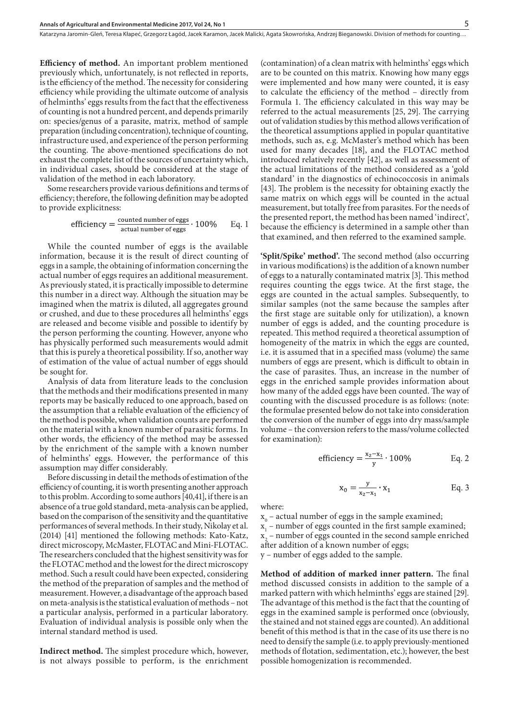Katarzyna Jaromin-Gleń, Teresa Kłapeć, Grzegorz Łagód, Jacek Karamon, Jacek Malicki, Agata Skowrońska, Andrzej Bieganowski . Division of methods for counting…

**Efficiency of method.** An important problem mentioned previously which, unfortunately, is not reflected in reports, is the efficiency of the method. The necessity for considering efficiency while providing the ultimate outcome of analysis of helminths' eggs results from the fact that the effectiveness of counting is not a hundred percent, and depends primarily on: species/genus of a parasite, matrix, method of sample preparation (including concentration), technique of counting, infrastructure used, and experience of the person performing the counting. The above-mentioned specifications do not exhaust the complete list of the sources of uncertainty which, in individual cases, should be considered at the stage of validation of the method in each laboratory.

Some researchers provide various definitions and terms of efficiency; therefore, the following definition may be adopted to provide explicitness:

$$
efficiency = \frac{counted number of eggs}{actual number of eggs} \cdot 100\% \qquad Eq. 1
$$

While the counted number of eggs is the available information, because it is the result of direct counting of eggs in a sample, the obtaining of information concerning the actual number of eggs requires an additional measurement. As previously stated, it is practically impossible to determine this number in a direct way. Although the situation may be imagined when the matrix is diluted, all aggregates ground or crushed, and due to these procedures all helminths' eggs are released and become visible and possible to identify by the person performing the counting. However, anyone who has physically performed such measurements would admit that this is purely a theoretical possibility. If so, another way of estimation of the value of actual number of eggs should be sought for.

Analysis of data from literature leads to the conclusion that the methods and their modifications presented in many reports may be basically reduced to one approach, based on the assumption that a reliable evaluation of the efficiency of the method is possible, when validation counts are performed on the material with a known number of parasitic forms. In other words, the efficiency of the method may be assessed by the enrichment of the sample with a known number of helminths' eggs. However, the performance of this assumption may differ considerably.

Before discussing in detail the methods of estimation of the efficiency of counting, it is worth presenting another approach to this problm. According to some authors [40,41], if there is an absence of a true gold standard, meta-analysis can be applied, based on the comparison of the sensitivity and the quantitative performances of several methods. In their study, Nikolay et al. (2014) [41] mentioned the following methods: Kato-Katz, direct microscopy, McMaster, FLOTAC and Mini-FLOTAC. The researchers concluded that the highest sensitivity was for the FLOTAC method and the lowest for the direct microscopy method. Such a result could have been expected, considering the method of the preparation of samples and the method of measurement. However, a disadvantage of the approach based on meta-analysis is the statistical evaluation of methods – not a particular analysis, performed in a particular laboratory. Evaluation of individual analysis is possible only when the internal standard method is used.

**Indirect method.** The simplest procedure which, however, is not always possible to perform, is the enrichment (contamination) of a clean matrix with helminths' eggs which are to be counted on this matrix. Knowing how many eggs were implemented and how many were counted, it is easy to calculate the efficiency of the method – directly from Formula 1. The efficiency calculated in this way may be referred to the actual measurements [25, 29]. The carrying out of validation studies by this method allows verification of the theoretical assumptions applied in popular quantitative methods, such as, e.g. McMaster's method which has been used for many decades [18], and the FLOTAC method introduced relatively recently [42], as well as assessment of the actual limitations of the method considered as a 'gold standard' in the diagnostics of echinococcosis in animals [43]. The problem is the necessity for obtaining exactly the same matrix on which eggs will be counted in the actual measurement, but totally free from parasites. For the needs of the presented report, the method has been named 'indirect', because the efficiency is determined in a sample other than that examined, and then referred to the examined sample.

**'Split/Spike' method'.** The second method (also occurring in various modifications) is the addition of a known number of eggs to a naturally contaminated matrix [3]. This method requires counting the eggs twice. At the first stage, the eggs are counted in the actual samples. Subsequently, to similar samples (not the same because the samples after the first stage are suitable only for utilization), a known number of eggs is added, and the counting procedure is repeated. This method required a theoretical assumption of homogeneity of the matrix in which the eggs are counted, i.e. it is assumed that in a specified mass (volume) the same numbers of eggs are present, which is difficult to obtain in the case of parasites. Thus, an increase in the number of eggs in the enriched sample provides information about how many of the added eggs have been counted. The way of counting with the discussed procedure is as follows: (note: the formulae presented below do not take into consideration the conversion of the number of eggs into dry mass/sample volume – the conversion refers to the mass/volume collected for examination):

efficiency = 
$$
\frac{x_2 - x_1}{y} \cdot 100\%
$$
 Eq. 2

$$
x_0 = \frac{y}{x_2 - x_1} \cdot x_1
$$
 Eq. 3

where:

 $x_0$  – actual number of eggs in the sample examined;  $x_1$  – number of eggs counted in the first sample examined;  $x_2$  – number of eggs counted in the second sample enriched after addition of a known number of eggs; y – number of eggs added to the sample.

**Method of addition of marked inner pattern.** The final method discussed consists in addition to the sample of a marked pattern with which helminths' eggs are stained [29]. The advantage of this method is the fact that the counting of eggs in the examined sample is performed once (obviously, the stained and not stained eggs are counted). An additional benefit of this method is that in the case of its use there is no need to densify the sample (i.e. to apply previously-mentioned methods of flotation, sedimentation, etc.); however, the best possible homogenization is recommended.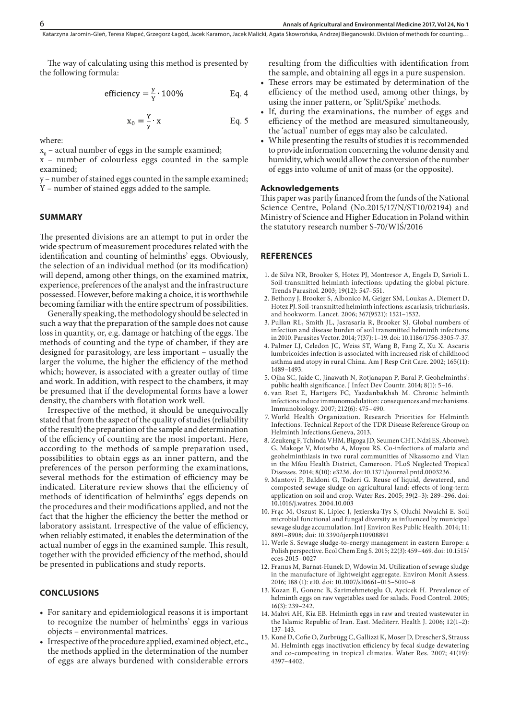The way of calculating using this method is presented by the following formula:

efficiency = 
$$
\frac{y}{Y}
$$
 · 100% Eq. 4

$$
x_0 = \frac{Y}{y} \cdot x
$$
 Eq. 5

where:

6

 $x_0$  – actual number of eggs in the sample examined;

x – number of colourless eggs counted in the sample examined;

y – number of stained eggs counted in the sample examined; Y – number of stained eggs added to the sample.

### **SUMMARY**

The presented divisions are an attempt to put in order the wide spectrum of measurement procedures related with the identification and counting of helminths' eggs. Obviously, the selection of an individual method (or its modification) will depend, among other things, on the examined matrix, experience, preferences of the analyst and the infrastructure possessed. However, before making a choice, it is worthwhile becoming familiar with the entire spectrum of possibilities.

Generally speaking, the methodology should be selected in such a way that the preparation of the sample does not cause loss in quantity, or, e.g. damage or hatching of the eggs. The methods of counting and the type of chamber, if they are designed for parasitology, are less important – usually the larger the volume, the higher the efficiency of the method which; however, is associated with a greater outlay of time and work. In addition, with respect to the chambers, it may be presumed that if the developmental forms have a lower density, the chambers with flotation work well.

Irrespective of the method, it should be unequivocally stated that from the aspect of the quality of studies (reliability of the result) the preparation of the sample and determination of the efficiency of counting are the most important. Here, according to the methods of sample preparation used, possibilities to obtain eggs as an inner pattern, and the preferences of the person performing the examinations, several methods for the estimation of efficiency may be indicated. Literature review shows that the efficiency of methods of identification of helminths' eggs depends on the procedures and their modifications applied, and not the fact that the higher the efficiency the better the method or laboratory assistant. Irrespective of the value of efficiency, when reliably estimated, it enables the determination of the actual number of eggs in the examined sample. This result, together with the provided efficiency of the method, should be presented in publications and study reports.

## **CONCLUSIONS**

- • For sanitary and epidemiological reasons it is important to recognize the number of helminths' eggs in various objects – environmental matrices.
- • Irrespective of the procedure applied, examined object, etc., the methods applied in the determination of the number of eggs are always burdened with considerable errors

resulting from the difficulties with identification from the sample, and obtaining all eggs in a pure suspension.

- These errors may be estimated by determination of the efficiency of the method used, among other things, by using the inner pattern, or 'Split/Spike' methods.
- If, during the examinations, the number of eggs and efficiency of the method are measured simultaneously, the 'actual' number of eggs may also be calculated.
- While presenting the results of studies it is recommended to provide information concerning the volume density and humidity, which would allow the conversion of the number of eggs into volume of unit of mass (or the opposite).

#### **Acknowledgements**

This paper was partly financed from the funds of the National Science Centre, Poland (No.2015/17/N/ST10/02194) and Ministry of Science and Higher Education in Poland within the statutory research number S-70/WIŚ/2016

## **REFERENCES**

- 1. de Silva NR, Brooker S, Hotez PJ, Montresor A, Engels D, Savioli L. Soil-transmitted helminth infections: updating the global picture. Trends Parasitol. 2003; 19(12): 547–551.
- 2. Bethony J, Brooker S, Albonico M, Geiger SM, Loukas A, Diemert D, Hotez PJ. Soil-transmitted helminth infections: ascariasis, trichuriasis, and hookworm. Lancet. 2006; 367(9521): 1521–1532.
- 3. Pullan RL, Smith JL, Jasrasaria R, Brooker SJ. Global numbers of infection and disease burden of soil transmitted helminth infections in 2010. Parasites Vector. 2014; 7(37): 1–19. doi: 10.1186/1756-3305-7-37.
- 4. Palmer LJ, Celedon JC, Weiss ST, Wang B, Fang Z, Xu X. Ascaris lumbricoides infection is associated with increased risk of childhood asthma and atopy in rural China. Am J Resp Crit Care. 2002; 165(11): 1489–1493.
- 5. Ojha SC, Jaide C, Jinawath N, Rotjanapan P, Baral P. Geohelminths': public health significance. J Infect Dev Countr. 2014; 8(1): 5–16.
- 6. van Riet E, Hartgers FC, Yazdanbakhsh M. Chronic helminth infections induce immunomodulation: consequences and mechanisms. Immunobiology. 2007; 212(6): 475–490.
- 7. World Health Organization. Research Priorities for Helminth Infections. Technical Report of the TDR Disease Reference Group on Helminth Infections.Geneva, 2013.
- 8. Zeukeng F, Tchinda VHM, Bigoga JD, Seumen CHT, Ndzi ES, Abonweh G, Makoge V, Motsebo A, Moyou RS. Co-infections of malaria and geohelminthiasis in two rural communities of Nkassomo and Vian in the Mfou Health District, Cameroon. PLoS Neglected Tropical Diseases. 2014; 8(10): e3236. doi:10.1371/journal.pntd.0003236.
- 9. Mantovi P, Baldoni G, Toderi G. Reuse of liquid, dewatered, and composted sewage sludge on agricultural land: effects of long-term application on soil and crop. Water Res. 2005; 39(2–3): 289–296. doi: 10.1016/j.watres. 2004.10.003
- 10. Frąc M, Oszust K, Lipiec J, Jezierska-Tys S, Oluchi Nwaichi E. Soil microbial functional and fungal diversity as influenced by municipal sewage sludge accumulation. Int J Environ Res Public Health. 2014; 11: 8891–8908; doi: 10.3390/ijerph110908891
- 11. Werle S. Sewage sludge-to-energy management in eastern Europe: a Polish perspective. Ecol Chem Eng S. 2015; 22(3): 459–469. doi: 10.1515/ eces-2015–0027
- 12. Franus M, Barnat-Hunek D, Wdowin M. Utilization of sewage sludge in the manufacture of lightweight aggregate. Environ Monit Assess. 2016; 188 (1): e10. doi: 10.1007/s10661–015–5010–8
- 13. Kozan E, Gonenc B, Sarimehmetoglu O, Aycicek H. Prevalence of helminth eggs on raw vegetables used for salads. Food Control. 2005; 16(3): 239–242.
- 14. Mahvi AH, Kia EB. Helminth eggs in raw and treated wastewater in the Islamic Republic of Iran. East. Mediterr. Health J. 2006; 12(1–2): 137–143.
- 15. Koné D, Cofie O, Zurbrügg C, Gallizzi K, Moser D, Drescher S, Strauss M. Helminth eggs inactivation efficiency by fecal sludge dewatering and co-composting in tropical climates. Water Res. 2007; 41(19): 4397–4402.